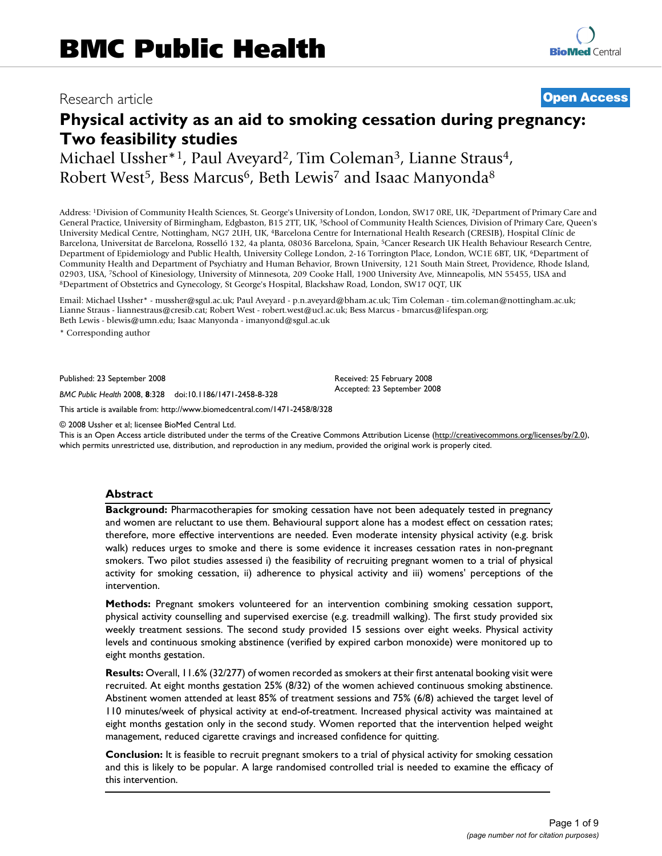## Research article **[Open Access](http://www.biomedcentral.com/info/about/charter/)**

# **Physical activity as an aid to smoking cessation during pregnancy: Two feasibility studies**

Michael Ussher\*1, Paul Aveyard<sup>2</sup>, Tim Coleman<sup>3</sup>, Lianne Straus<sup>4</sup>, Robert West<sup>5</sup>, Bess Marcus<sup>6</sup>, Beth Lewis<sup>7</sup> and Isaac Manyonda<sup>8</sup>

Address: 1Division of Community Health Sciences, St. George's University of London, London, SW17 0RE, UK, 2Department of Primary Care and General Practice, University of Birmingham, Edgbaston, B15 2TT, UK, 3School of Community Health Sciences, Division of Primary Care, Queen's University Medical Centre, Nottingham, NG7 2UH, UK, 4Barcelona Centre for International Health Research (CRESIB), Hospital Clínic de Barcelona, Universitat de Barcelona, Rosselló 132, 4a planta, 08036 Barcelona, Spain, 5Cancer Research UK Health Behaviour Research Centre, Department of Epidemiology and Public Health, University College London, 2-16 Torrington Place, London, WC1E 6BT, UK, 6Department of Community Health and Department of Psychiatry and Human Behavior, Brown University, 121 South Main Street, Providence, Rhode Island, 02903, USA, 7School of Kinesiology, University of Minnesota, 209 Cooke Hall, 1900 University Ave, Minneapolis, MN 55455, USA and 8Department of Obstetrics and Gynecology, St George's Hospital, Blackshaw Road, London, SW17

Email: Michael Ussher\* - mussher@sgul.ac.uk; Paul Aveyard - p.n.aveyard@bham.ac.uk; Tim Coleman - tim.coleman@nottingham.ac.uk; Lianne Straus - liannestraus@cresib.cat; Robert West - robert.west@ucl.ac.uk; Bess Marcus - bmarcus@lifespan.org; Beth Lewis - blewis@umn.edu; Isaac Manyonda - imanyond@sgul.ac.uk

\* Corresponding author

Published: 23 September 2008

*BMC Public Health* 2008, **8**:328 doi:10.1186/1471-2458-8-328

[This article is available from: http://www.biomedcentral.com/1471-2458/8/328](http://www.biomedcentral.com/1471-2458/8/328)

© 2008 Ussher et al; licensee BioMed Central Ltd.

This is an Open Access article distributed under the terms of the Creative Commons Attribution License [\(http://creativecommons.org/licenses/by/2.0\)](http://creativecommons.org/licenses/by/2.0), which permits unrestricted use, distribution, and reproduction in any medium, provided the original work is properly cited.

Received: 25 February 2008 Accepted: 23 September 2008

#### **Abstract**

**Background:** Pharmacotherapies for smoking cessation have not been adequately tested in pregnancy and women are reluctant to use them. Behavioural support alone has a modest effect on cessation rates; therefore, more effective interventions are needed. Even moderate intensity physical activity (e.g. brisk walk) reduces urges to smoke and there is some evidence it increases cessation rates in non-pregnant smokers. Two pilot studies assessed i) the feasibility of recruiting pregnant women to a trial of physical activity for smoking cessation, ii) adherence to physical activity and iii) womens' perceptions of the intervention.

**Methods:** Pregnant smokers volunteered for an intervention combining smoking cessation support, physical activity counselling and supervised exercise (e.g. treadmill walking). The first study provided six weekly treatment sessions. The second study provided 15 sessions over eight weeks. Physical activity levels and continuous smoking abstinence (verified by expired carbon monoxide) were monitored up to eight months gestation.

**Results:** Overall, 11.6% (32/277) of women recorded as smokers at their first antenatal booking visit were recruited. At eight months gestation 25% (8/32) of the women achieved continuous smoking abstinence. Abstinent women attended at least 85% of treatment sessions and 75% (6/8) achieved the target level of 110 minutes/week of physical activity at end-of-treatment. Increased physical activity was maintained at eight months gestation only in the second study. Women reported that the intervention helped weight management, reduced cigarette cravings and increased confidence for quitting.

**Conclusion:** It is feasible to recruit pregnant smokers to a trial of physical activity for smoking cessation and this is likely to be popular. A large randomised controlled trial is needed to examine the efficacy of this intervention.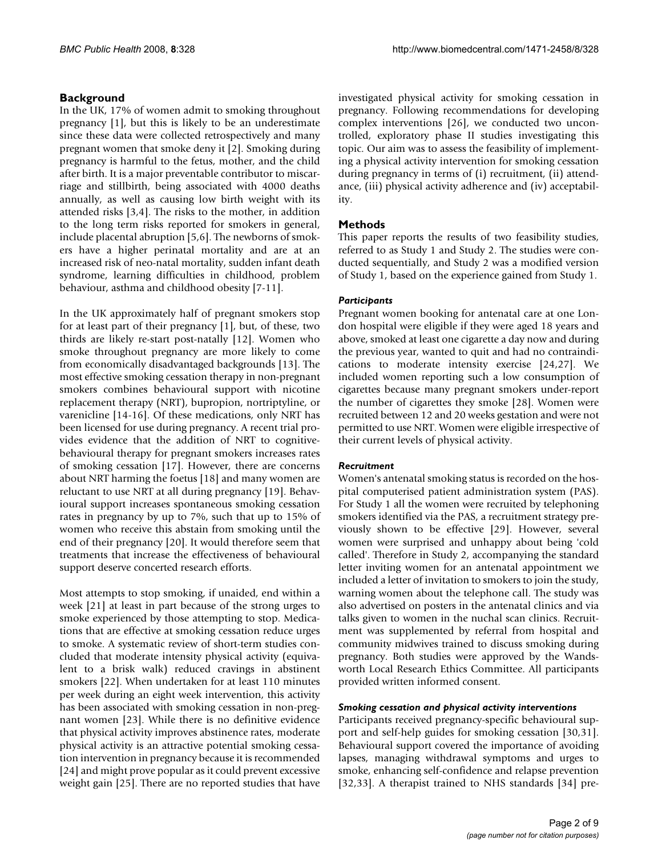## **Background**

In the UK, 17% of women admit to smoking throughout pregnancy [1], but this is likely to be an underestimate since these data were collected retrospectively and many pregnant women that smoke deny it [2]. Smoking during pregnancy is harmful to the fetus, mother, and the child after birth. It is a major preventable contributor to miscarriage and stillbirth, being associated with 4000 deaths annually, as well as causing low birth weight with its attended risks [3,4]. The risks to the mother, in addition to the long term risks reported for smokers in general, include placental abruption [5,6]. The newborns of smokers have a higher perinatal mortality and are at an increased risk of neo-natal mortality, sudden infant death syndrome, learning difficulties in childhood, problem behaviour, asthma and childhood obesity [7-11].

In the UK approximately half of pregnant smokers stop for at least part of their pregnancy [1], but, of these, two thirds are likely re-start post-natally [12]. Women who smoke throughout pregnancy are more likely to come from economically disadvantaged backgrounds [13]. The most effective smoking cessation therapy in non-pregnant smokers combines behavioural support with nicotine replacement therapy (NRT), bupropion, nortriptyline, or varenicline [14-16]. Of these medications, only NRT has been licensed for use during pregnancy. A recent trial provides evidence that the addition of NRT to cognitivebehavioural therapy for pregnant smokers increases rates of smoking cessation [17]. However, there are concerns about NRT harming the foetus [18] and many women are reluctant to use NRT at all during pregnancy [19]. Behavioural support increases spontaneous smoking cessation rates in pregnancy by up to 7%, such that up to 15% of women who receive this abstain from smoking until the end of their pregnancy [20]. It would therefore seem that treatments that increase the effectiveness of behavioural support deserve concerted research efforts.

Most attempts to stop smoking, if unaided, end within a week [21] at least in part because of the strong urges to smoke experienced by those attempting to stop. Medications that are effective at smoking cessation reduce urges to smoke. A systematic review of short-term studies concluded that moderate intensity physical activity (equivalent to a brisk walk) reduced cravings in abstinent smokers [22]. When undertaken for at least 110 minutes per week during an eight week intervention, this activity has been associated with smoking cessation in non-pregnant women [23]. While there is no definitive evidence that physical activity improves abstinence rates, moderate physical activity is an attractive potential smoking cessation intervention in pregnancy because it is recommended [24] and might prove popular as it could prevent excessive weight gain [25]. There are no reported studies that have

investigated physical activity for smoking cessation in pregnancy. Following recommendations for developing complex interventions [26], we conducted two uncontrolled, exploratory phase II studies investigating this topic. Our aim was to assess the feasibility of implementing a physical activity intervention for smoking cessation during pregnancy in terms of (i) recruitment, (ii) attendance, (iii) physical activity adherence and (iv) acceptability.

## **Methods**

This paper reports the results of two feasibility studies, referred to as Study 1 and Study 2. The studies were conducted sequentially, and Study 2 was a modified version of Study 1, based on the experience gained from Study 1.

## *Participants*

Pregnant women booking for antenatal care at one London hospital were eligible if they were aged 18 years and above, smoked at least one cigarette a day now and during the previous year, wanted to quit and had no contraindications to moderate intensity exercise [24,27]. We included women reporting such a low consumption of cigarettes because many pregnant smokers under-report the number of cigarettes they smoke [28]. Women were recruited between 12 and 20 weeks gestation and were not permitted to use NRT. Women were eligible irrespective of their current levels of physical activity.

## *Recruitment*

Women's antenatal smoking status is recorded on the hospital computerised patient administration system (PAS). For Study 1 all the women were recruited by telephoning smokers identified via the PAS, a recruitment strategy previously shown to be effective [29]. However, several women were surprised and unhappy about being 'cold called'. Therefore in Study 2, accompanying the standard letter inviting women for an antenatal appointment we included a letter of invitation to smokers to join the study, warning women about the telephone call. The study was also advertised on posters in the antenatal clinics and via talks given to women in the nuchal scan clinics. Recruitment was supplemented by referral from hospital and community midwives trained to discuss smoking during pregnancy. Both studies were approved by the Wandsworth Local Research Ethics Committee. All participants provided written informed consent.

#### *Smoking cessation and physical activity interventions*

Participants received pregnancy-specific behavioural support and self-help guides for smoking cessation [30,31]. Behavioural support covered the importance of avoiding lapses, managing withdrawal symptoms and urges to smoke, enhancing self-confidence and relapse prevention [32,33]. A therapist trained to NHS standards [34] pre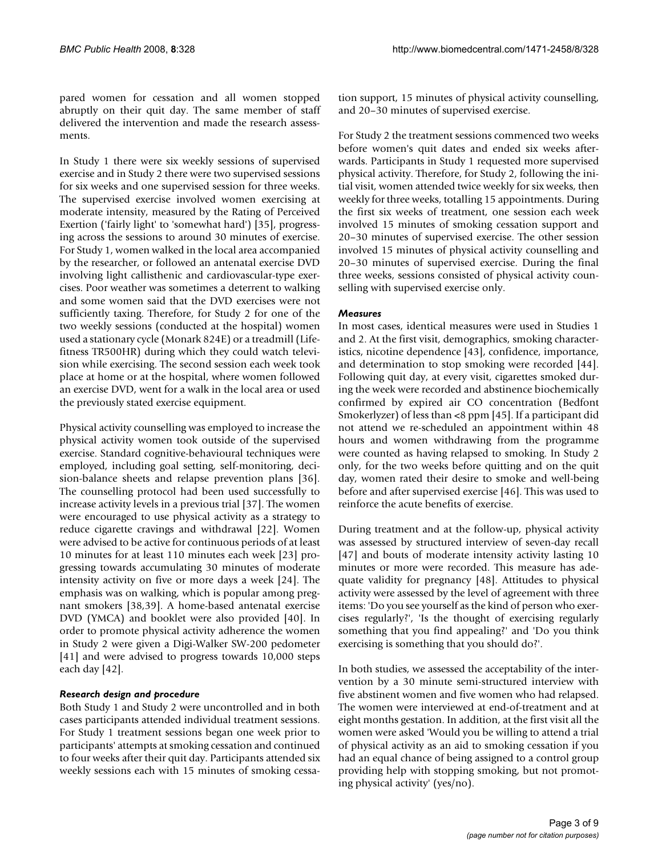pared women for cessation and all women stopped abruptly on their quit day. The same member of staff delivered the intervention and made the research assessments.

In Study 1 there were six weekly sessions of supervised exercise and in Study 2 there were two supervised sessions for six weeks and one supervised session for three weeks. The supervised exercise involved women exercising at moderate intensity, measured by the Rating of Perceived Exertion ('fairly light' to 'somewhat hard') [35], progressing across the sessions to around 30 minutes of exercise. For Study 1, women walked in the local area accompanied by the researcher, or followed an antenatal exercise DVD involving light callisthenic and cardiovascular-type exercises. Poor weather was sometimes a deterrent to walking and some women said that the DVD exercises were not sufficiently taxing. Therefore, for Study 2 for one of the two weekly sessions (conducted at the hospital) women used a stationary cycle (Monark 824E) or a treadmill (Lifefitness TR500HR) during which they could watch television while exercising. The second session each week took place at home or at the hospital, where women followed an exercise DVD, went for a walk in the local area or used the previously stated exercise equipment.

Physical activity counselling was employed to increase the physical activity women took outside of the supervised exercise. Standard cognitive-behavioural techniques were employed, including goal setting, self-monitoring, decision-balance sheets and relapse prevention plans [36]. The counselling protocol had been used successfully to increase activity levels in a previous trial [37]. The women were encouraged to use physical activity as a strategy to reduce cigarette cravings and withdrawal [22]. Women were advised to be active for continuous periods of at least 10 minutes for at least 110 minutes each week [23] progressing towards accumulating 30 minutes of moderate intensity activity on five or more days a week [24]. The emphasis was on walking, which is popular among pregnant smokers [38,39]. A home-based antenatal exercise DVD (YMCA) and booklet were also provided [40]. In order to promote physical activity adherence the women in Study 2 were given a Digi-Walker SW-200 pedometer [41] and were advised to progress towards 10,000 steps each day [42].

## *Research design and procedure*

Both Study 1 and Study 2 were uncontrolled and in both cases participants attended individual treatment sessions. For Study 1 treatment sessions began one week prior to participants' attempts at smoking cessation and continued to four weeks after their quit day. Participants attended six weekly sessions each with 15 minutes of smoking cessation support, 15 minutes of physical activity counselling, and 20–30 minutes of supervised exercise.

For Study 2 the treatment sessions commenced two weeks before women's quit dates and ended six weeks afterwards. Participants in Study 1 requested more supervised physical activity. Therefore, for Study 2, following the initial visit, women attended twice weekly for six weeks, then weekly for three weeks, totalling 15 appointments. During the first six weeks of treatment, one session each week involved 15 minutes of smoking cessation support and 20–30 minutes of supervised exercise. The other session involved 15 minutes of physical activity counselling and 20–30 minutes of supervised exercise. During the final three weeks, sessions consisted of physical activity counselling with supervised exercise only.

## *Measures*

In most cases, identical measures were used in Studies 1 and 2. At the first visit, demographics, smoking characteristics, nicotine dependence [43], confidence, importance, and determination to stop smoking were recorded [44]. Following quit day, at every visit, cigarettes smoked during the week were recorded and abstinence biochemically confirmed by expired air CO concentration (Bedfont Smokerlyzer) of less than <8 ppm [45]. If a participant did not attend we re-scheduled an appointment within 48 hours and women withdrawing from the programme were counted as having relapsed to smoking. In Study 2 only, for the two weeks before quitting and on the quit day, women rated their desire to smoke and well-being before and after supervised exercise [46]. This was used to reinforce the acute benefits of exercise.

During treatment and at the follow-up, physical activity was assessed by structured interview of seven-day recall [47] and bouts of moderate intensity activity lasting 10 minutes or more were recorded. This measure has adequate validity for pregnancy [48]. Attitudes to physical activity were assessed by the level of agreement with three items: 'Do you see yourself as the kind of person who exercises regularly?', 'Is the thought of exercising regularly something that you find appealing?' and 'Do you think exercising is something that you should do?'.

In both studies, we assessed the acceptability of the intervention by a 30 minute semi-structured interview with five abstinent women and five women who had relapsed. The women were interviewed at end-of-treatment and at eight months gestation. In addition, at the first visit all the women were asked 'Would you be willing to attend a trial of physical activity as an aid to smoking cessation if you had an equal chance of being assigned to a control group providing help with stopping smoking, but not promoting physical activity' (yes/no).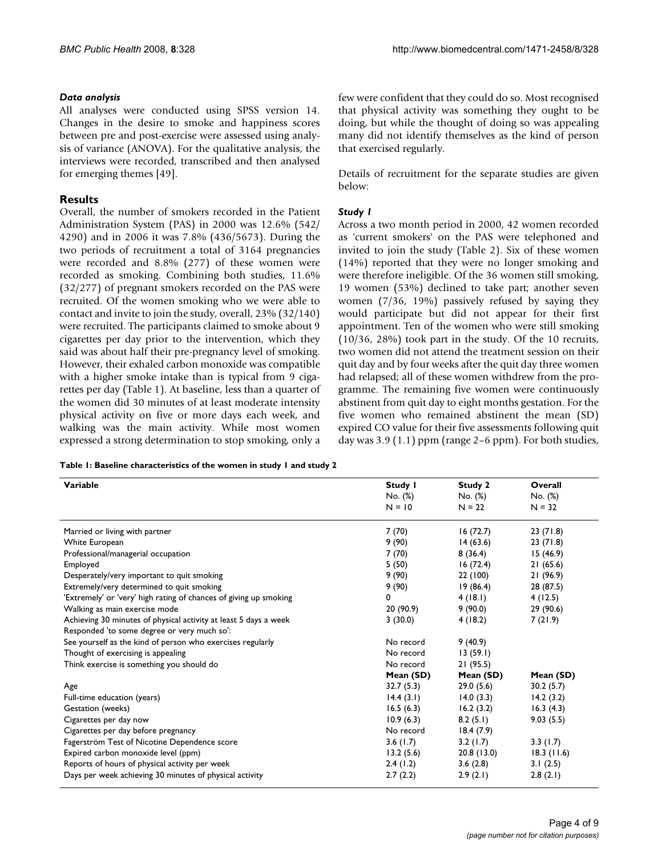## *Data analysis*

All analyses were conducted using SPSS version 14. Changes in the desire to smoke and happiness scores between pre and post-exercise were assessed using analysis of variance (ANOVA). For the qualitative analysis, the interviews were recorded, transcribed and then analysed for emerging themes [49].

## **Results**

Overall, the number of smokers recorded in the Patient Administration System (PAS) in 2000 was 12.6% (542/ 4290) and in 2006 it was 7.8% (436/5673). During the two periods of recruitment a total of 3164 pregnancies were recorded and 8.8% (277) of these women were recorded as smoking. Combining both studies, 11.6% (32/277) of pregnant smokers recorded on the PAS were recruited. Of the women smoking who we were able to contact and invite to join the study, overall, 23% (32/140) were recruited. The participants claimed to smoke about 9 cigarettes per day prior to the intervention, which they said was about half their pre-pregnancy level of smoking. However, their exhaled carbon monoxide was compatible with a higher smoke intake than is typical from 9 cigarettes per day (Table 1). At baseline, less than a quarter of the women did 30 minutes of at least moderate intensity physical activity on five or more days each week, and walking was the main activity. While most women expressed a strong determination to stop smoking, only a

| Table 1: Baseline characteristics of the women in study 1 and study 2 |  |  |  |
|-----------------------------------------------------------------------|--|--|--|
|-----------------------------------------------------------------------|--|--|--|

few were confident that they could do so. Most recognised that physical activity was something they ought to be doing, but while the thought of doing so was appealing many did not identify themselves as the kind of person that exercised regularly.

Details of recruitment for the separate studies are given below:

## *Study 1*

Across a two month period in 2000, 42 women recorded as 'current smokers' on the PAS were telephoned and invited to join the study (Table 2). Six of these women (14%) reported that they were no longer smoking and were therefore ineligible. Of the 36 women still smoking, 19 women (53%) declined to take part; another seven women (7/36, 19%) passively refused by saying they would participate but did not appear for their first appointment. Ten of the women who were still smoking (10/36, 28%) took part in the study. Of the 10 recruits, two women did not attend the treatment session on their quit day and by four weeks after the quit day three women had relapsed; all of these women withdrew from the programme. The remaining five women were continuously abstinent from quit day to eight months gestation. For the five women who remained abstinent the mean (SD) expired CO value for their five assessments following quit day was 3.9 (1.1) ppm (range 2–6 ppm). For both studies,

| Variable                                                          | Study I     |            | Overall    |  |
|-------------------------------------------------------------------|-------------|------------|------------|--|
|                                                                   | No. (%)     | No. (%)    | No. (%)    |  |
|                                                                   | $N = 10$    | $N = 22$   | $N = 32$   |  |
| Married or living with partner                                    | 7(70)       | 16(72.7)   | 23(71.8)   |  |
| White European                                                    | 9 (90)      | 14(63.6)   | 23(71.8)   |  |
| Professional/managerial occupation                                | 7(70)       | 8(36.4)    | 15(46.9)   |  |
| Employed                                                          | 5(50)       | 16(72.4)   | 21(65.6)   |  |
| Desperately/very important to quit smoking                        | 9(90)       | 22 (100)   | 21(96.9)   |  |
| Extremely/very determined to quit smoking                         | 9 (90)      | 19(86.4)   | 28 (87.5)  |  |
| 'Extremely' or 'very' high rating of chances of giving up smoking | 0           | 4(18.1)    | 4(12.5)    |  |
| Walking as main exercise mode                                     | 20 (90.9)   | 9(90.0)    | 29 (90.6)  |  |
| Achieving 30 minutes of physical activity at least 5 days a week  | 3(30.0)     | 4(18.2)    | 7(21.9)    |  |
| Responded 'to some degree or very much so':                       |             |            |            |  |
| See yourself as the kind of person who exercises regularly        | No record   | 9(40.9)    |            |  |
| Thought of exercising is appealing                                | No record   | 13(59.1)   |            |  |
| Think exercise is something you should do                         | No record   | 21(95.5)   |            |  |
|                                                                   | Mean (SD)   | Mean (SD)  | Mean (SD)  |  |
| Age                                                               | 32.7(5.3)   | 29.0(5.6)  | 30.2(5.7)  |  |
| Full-time education (years)                                       | 14.4(3.1)   | 14.0(3.3)  | 14.2(3.2)  |  |
| Gestation (weeks)                                                 | 16.5(6.3)   | 16.2(3.2)  | 16.3(4.3)  |  |
| Cigarettes per day now                                            | 10.9(6.3)   | 8.2(5.1)   | 9.03(5.5)  |  |
| Cigarettes per day before pregnancy                               | No record   | 18.4(7.9)  |            |  |
| Fagerström Test of Nicotine Dependence score                      | 3.6 $(1.7)$ | 3.2(1.7)   | 3.3(1.7)   |  |
| Expired carbon monoxide level (ppm)                               | 13.2(5.6)   | 20.8(13.0) | 18.3(11.6) |  |
| Reports of hours of physical activity per week                    | 2.4(1.2)    | 3.6(2.8)   | 3.1(2.5)   |  |
| Days per week achieving 30 minutes of physical activity           | 2.7(2.2)    | 2.9(2.1)   | 2.8(2.1)   |  |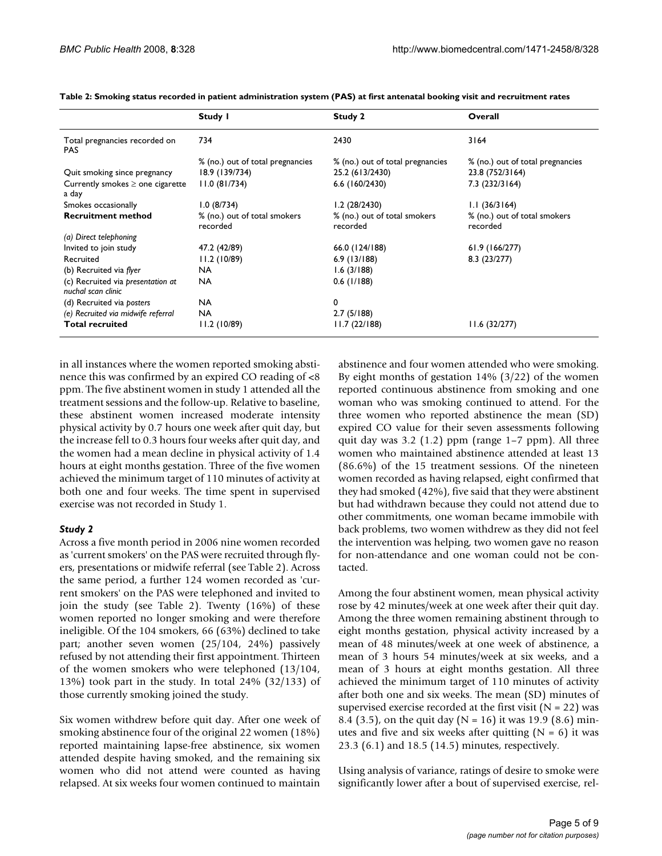|                                                         | Study I                                  | Study 2                                  | Overall                                  |
|---------------------------------------------------------|------------------------------------------|------------------------------------------|------------------------------------------|
| Total pregnancies recorded on<br><b>PAS</b>             | 734                                      | 2430                                     | 3164                                     |
|                                                         | % (no.) out of total pregnancies         | % (no.) out of total pregnancies         | % (no.) out of total pregnancies         |
| Quit smoking since pregnancy                            | 18.9 (139/734)                           | 25.2 (613/2430)                          | 23.8 (752/3164)                          |
| Currently smokes $\geq$ one cigarette<br>a day          | 11.0(81/734)                             | 6.6 (160/2430)                           | 7.3 (232/3164)                           |
| Smokes occasionally                                     | 1.0(8/734)                               | 1.2(28/2430)                             | 1.1(36/3164)                             |
| <b>Recruitment method</b>                               | % (no.) out of total smokers<br>recorded | % (no.) out of total smokers<br>recorded | % (no.) out of total smokers<br>recorded |
| (a) Direct telephoning                                  |                                          |                                          |                                          |
| Invited to join study                                   | 47.2 (42/89)                             | 66.0 (124/188)                           | 61.9(166/277)                            |
| Recruited                                               | 11.2(10/89)                              | 6.9(13/188)                              | 8.3(23/277)                              |
| (b) Recruited via flyer                                 | <b>NA</b>                                | 1.6(3/188)                               |                                          |
| (c) Recruited via presentation at<br>nuchal scan clinic | <b>NA</b>                                | $0.6$ ( $1/188$ )                        |                                          |
| (d) Recruited via posters                               | <b>NA</b>                                | 0                                        |                                          |
| (e) Recruited via midwife referral                      | NA                                       | 2.7(5/188)                               |                                          |
| <b>Total recruited</b>                                  | 11.2(10/89)                              | 11.7(22/188)                             | 11.6(32/277)                             |

**Table 2: Smoking status recorded in patient administration system (PAS) at first antenatal booking visit and recruitment rates**

in all instances where the women reported smoking abstinence this was confirmed by an expired CO reading of <8 ppm. The five abstinent women in study 1 attended all the treatment sessions and the follow-up. Relative to baseline, these abstinent women increased moderate intensity physical activity by 0.7 hours one week after quit day, but the increase fell to 0.3 hours four weeks after quit day, and the women had a mean decline in physical activity of 1.4 hours at eight months gestation. Three of the five women achieved the minimum target of 110 minutes of activity at both one and four weeks. The time spent in supervised exercise was not recorded in Study 1.

#### *Study 2*

Across a five month period in 2006 nine women recorded as 'current smokers' on the PAS were recruited through flyers, presentations or midwife referral (see Table 2). Across the same period, a further 124 women recorded as 'current smokers' on the PAS were telephoned and invited to join the study (see Table 2). Twenty (16%) of these women reported no longer smoking and were therefore ineligible. Of the 104 smokers, 66 (63%) declined to take part; another seven women (25/104, 24%) passively refused by not attending their first appointment. Thirteen of the women smokers who were telephoned (13/104, 13%) took part in the study. In total 24% (32/133) of those currently smoking joined the study.

Six women withdrew before quit day. After one week of smoking abstinence four of the original 22 women (18%) reported maintaining lapse-free abstinence, six women attended despite having smoked, and the remaining six women who did not attend were counted as having relapsed. At six weeks four women continued to maintain

abstinence and four women attended who were smoking. By eight months of gestation 14% (3/22) of the women reported continuous abstinence from smoking and one woman who was smoking continued to attend. For the three women who reported abstinence the mean (SD) expired CO value for their seven assessments following quit day was  $3.2$  (1.2) ppm (range  $1-7$  ppm). All three women who maintained abstinence attended at least 13 (86.6%) of the 15 treatment sessions. Of the nineteen women recorded as having relapsed, eight confirmed that they had smoked (42%), five said that they were abstinent but had withdrawn because they could not attend due to other commitments, one woman became immobile with back problems, two women withdrew as they did not feel the intervention was helping, two women gave no reason for non-attendance and one woman could not be contacted.

Among the four abstinent women, mean physical activity rose by 42 minutes/week at one week after their quit day. Among the three women remaining abstinent through to eight months gestation, physical activity increased by a mean of 48 minutes/week at one week of abstinence, a mean of 3 hours 54 minutes/week at six weeks, and a mean of 3 hours at eight months gestation. All three achieved the minimum target of 110 minutes of activity after both one and six weeks. The mean (SD) minutes of supervised exercise recorded at the first visit  $(N = 22)$  was 8.4 (3.5), on the quit day (N = 16) it was 19.9 (8.6) minutes and five and six weeks after quitting  $(N = 6)$  it was 23.3 (6.1) and 18.5 (14.5) minutes, respectively.

Using analysis of variance, ratings of desire to smoke were significantly lower after a bout of supervised exercise, rel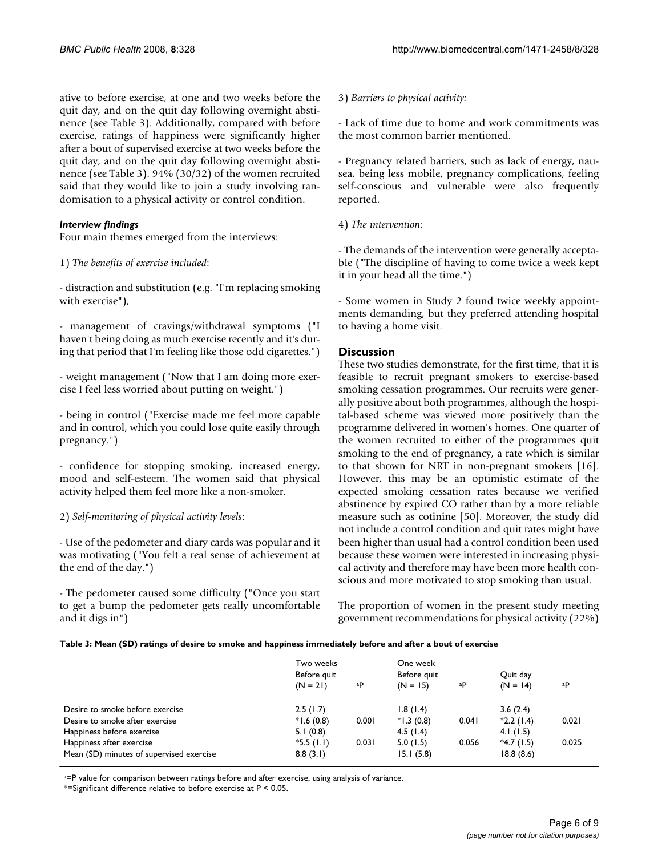ative to before exercise, at one and two weeks before the quit day, and on the quit day following overnight abstinence (see Table 3). Additionally, compared with before exercise, ratings of happiness were significantly higher after a bout of supervised exercise at two weeks before the quit day, and on the quit day following overnight abstinence (see Table 3). 94% (30/32) of the women recruited said that they would like to join a study involving randomisation to a physical activity or control condition.

### *Interview findings*

Four main themes emerged from the interviews:

1) *The benefits of exercise included*:

- distraction and substitution (e.g. "I'm replacing smoking with exercise"),

- management of cravings/withdrawal symptoms ("I haven't being doing as much exercise recently and it's during that period that I'm feeling like those odd cigarettes.")

- weight management ("Now that I am doing more exercise I feel less worried about putting on weight.")

- being in control ("Exercise made me feel more capable and in control, which you could lose quite easily through pregnancy.")

- confidence for stopping smoking, increased energy, mood and self-esteem. The women said that physical activity helped them feel more like a non-smoker.

## 2) *Self-monitoring of physical activity levels*:

- Use of the pedometer and diary cards was popular and it was motivating ("You felt a real sense of achievement at the end of the day.")

- The pedometer caused some difficulty ("Once you start to get a bump the pedometer gets really uncomfortable and it digs in")

### 3) *Barriers to physical activity:*

- Lack of time due to home and work commitments was the most common barrier mentioned.

- Pregnancy related barriers, such as lack of energy, nausea, being less mobile, pregnancy complications, feeling self-conscious and vulnerable were also frequently reported.

4) *The intervention:*

- The demands of the intervention were generally acceptable ("The discipline of having to come twice a week kept it in your head all the time.")

- Some women in Study 2 found twice weekly appointments demanding, but they preferred attending hospital to having a home visit.

### **Discussion**

These two studies demonstrate, for the first time, that it is feasible to recruit pregnant smokers to exercise-based smoking cessation programmes. Our recruits were generally positive about both programmes, although the hospital-based scheme was viewed more positively than the programme delivered in women's homes. One quarter of the women recruited to either of the programmes quit smoking to the end of pregnancy, a rate which is similar to that shown for NRT in non-pregnant smokers [16]. However, this may be an optimistic estimate of the expected smoking cessation rates because we verified abstinence by expired CO rather than by a more reliable measure such as cotinine [50]. Moreover, the study did not include a control condition and quit rates might have been higher than usual had a control condition been used because these women were interested in increasing physical activity and therefore may have been more health conscious and more motivated to stop smoking than usual.

The proportion of women in the present study meeting government recommendations for physical activity (22%)

|  |  | Table 3: Mean (SD) ratings of desire to smoke and happiness immediately before and after a bout of exercise |  |  |  |
|--|--|-------------------------------------------------------------------------------------------------------------|--|--|--|
|--|--|-------------------------------------------------------------------------------------------------------------|--|--|--|

|                                          | Two weeks<br>Before quit |       | One week    |       |             |       |
|------------------------------------------|--------------------------|-------|-------------|-------|-------------|-------|
|                                          |                          |       | Before quit |       | Quit day    |       |
|                                          | $(N = 21)$               | аP    | $(N = 15)$  | аP    | $(N = 14)$  | аP    |
| Desire to smoke before exercise          | 2.5(1.7)                 |       | 1.8(1.4)    |       | 3.6(2.4)    |       |
| Desire to smoke after exercise           | $*1.6(0.8)$              | 0.001 | $*1.3(0.8)$ | 0.041 | $*2.2(1.4)$ | 0.021 |
| Happiness before exercise                | 5.1(0.8)                 |       | 4.5(1.4)    |       | 4.1 $(1.5)$ |       |
| Happiness after exercise                 | $*5.5(1.1)$              | 0.031 | 5.0(1.5)    | 0.056 | $*4.7(1.5)$ | 0.025 |
| Mean (SD) minutes of supervised exercise | 8.8(3.1)                 |       | 15.1(5.8)   |       | 18.8(8.6)   |       |

a=P value for comparison between ratings before and after exercise, using analysis of variance.

\*=Significant difference relative to before exercise at P < 0.05.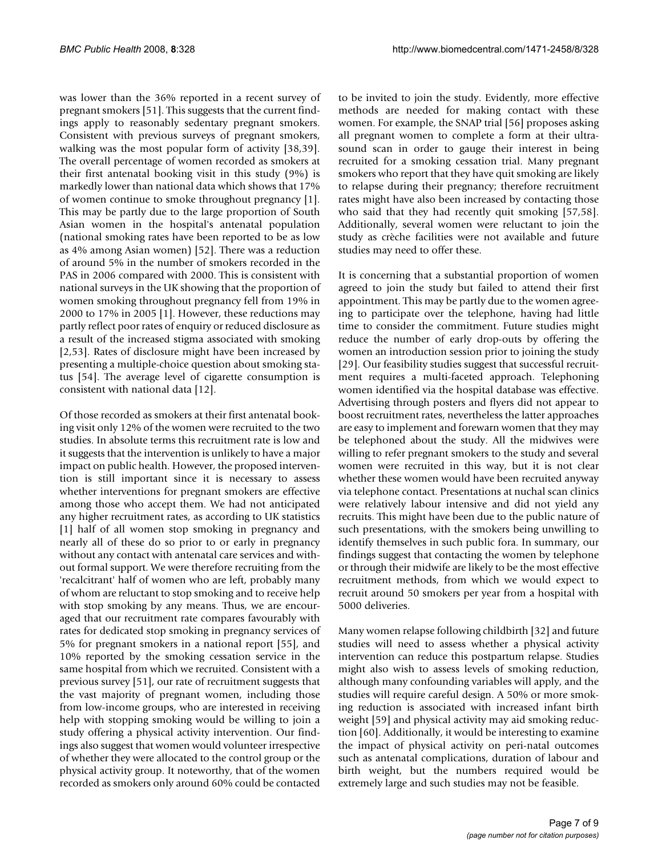was lower than the 36% reported in a recent survey of pregnant smokers [51]. This suggests that the current findings apply to reasonably sedentary pregnant smokers. Consistent with previous surveys of pregnant smokers, walking was the most popular form of activity [38,39]. The overall percentage of women recorded as smokers at their first antenatal booking visit in this study (9%) is markedly lower than national data which shows that 17% of women continue to smoke throughout pregnancy [1]. This may be partly due to the large proportion of South Asian women in the hospital's antenatal population (national smoking rates have been reported to be as low as 4% among Asian women) [52]. There was a reduction of around 5% in the number of smokers recorded in the PAS in 2006 compared with 2000. This is consistent with national surveys in the UK showing that the proportion of women smoking throughout pregnancy fell from 19% in 2000 to 17% in 2005 [1]. However, these reductions may partly reflect poor rates of enquiry or reduced disclosure as a result of the increased stigma associated with smoking [2,53]. Rates of disclosure might have been increased by presenting a multiple-choice question about smoking status [54]. The average level of cigarette consumption is consistent with national data [12].

Of those recorded as smokers at their first antenatal booking visit only 12% of the women were recruited to the two studies. In absolute terms this recruitment rate is low and it suggests that the intervention is unlikely to have a major impact on public health. However, the proposed intervention is still important since it is necessary to assess whether interventions for pregnant smokers are effective among those who accept them. We had not anticipated any higher recruitment rates, as according to UK statistics [1] half of all women stop smoking in pregnancy and nearly all of these do so prior to or early in pregnancy without any contact with antenatal care services and without formal support. We were therefore recruiting from the 'recalcitrant' half of women who are left, probably many of whom are reluctant to stop smoking and to receive help with stop smoking by any means. Thus, we are encouraged that our recruitment rate compares favourably with rates for dedicated stop smoking in pregnancy services of 5% for pregnant smokers in a national report [55], and 10% reported by the smoking cessation service in the same hospital from which we recruited. Consistent with a previous survey [51], our rate of recruitment suggests that the vast majority of pregnant women, including those from low-income groups, who are interested in receiving help with stopping smoking would be willing to join a study offering a physical activity intervention. Our findings also suggest that women would volunteer irrespective of whether they were allocated to the control group or the physical activity group. It noteworthy, that of the women recorded as smokers only around 60% could be contacted

to be invited to join the study. Evidently, more effective methods are needed for making contact with these women. For example, the SNAP trial [56] proposes asking all pregnant women to complete a form at their ultrasound scan in order to gauge their interest in being recruited for a smoking cessation trial. Many pregnant smokers who report that they have quit smoking are likely to relapse during their pregnancy; therefore recruitment rates might have also been increased by contacting those who said that they had recently quit smoking [57,58]. Additionally, several women were reluctant to join the study as crèche facilities were not available and future studies may need to offer these.

It is concerning that a substantial proportion of women agreed to join the study but failed to attend their first appointment. This may be partly due to the women agreeing to participate over the telephone, having had little time to consider the commitment. Future studies might reduce the number of early drop-outs by offering the women an introduction session prior to joining the study [29]. Our feasibility studies suggest that successful recruitment requires a multi-faceted approach. Telephoning women identified via the hospital database was effective. Advertising through posters and flyers did not appear to boost recruitment rates, nevertheless the latter approaches are easy to implement and forewarn women that they may be telephoned about the study. All the midwives were willing to refer pregnant smokers to the study and several women were recruited in this way, but it is not clear whether these women would have been recruited anyway via telephone contact. Presentations at nuchal scan clinics were relatively labour intensive and did not yield any recruits. This might have been due to the public nature of such presentations, with the smokers being unwilling to identify themselves in such public fora. In summary, our findings suggest that contacting the women by telephone or through their midwife are likely to be the most effective recruitment methods, from which we would expect to recruit around 50 smokers per year from a hospital with 5000 deliveries.

Many women relapse following childbirth [32] and future studies will need to assess whether a physical activity intervention can reduce this postpartum relapse. Studies might also wish to assess levels of smoking reduction, although many confounding variables will apply, and the studies will require careful design. A 50% or more smoking reduction is associated with increased infant birth weight [59] and physical activity may aid smoking reduction [60]. Additionally, it would be interesting to examine the impact of physical activity on peri-natal outcomes such as antenatal complications, duration of labour and birth weight, but the numbers required would be extremely large and such studies may not be feasible.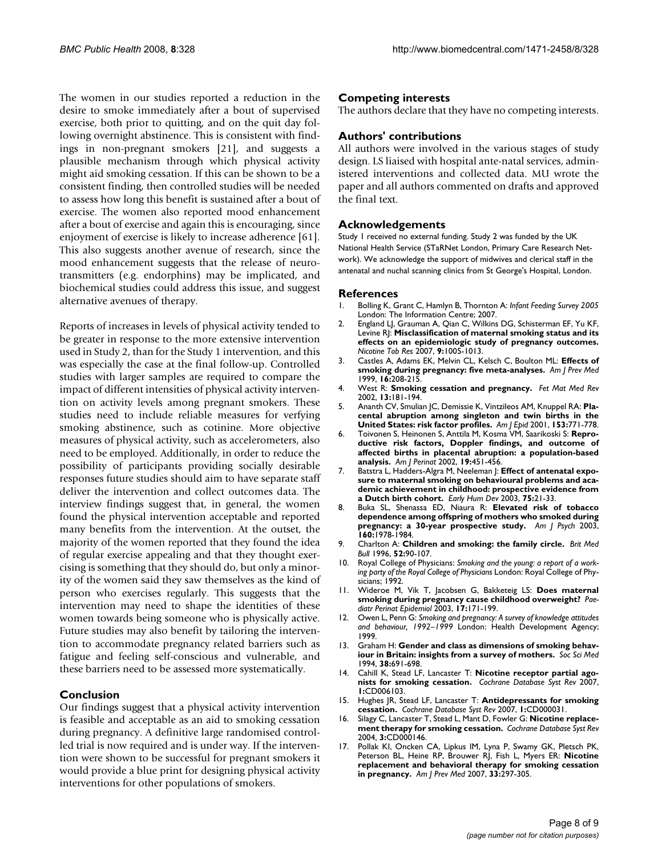The women in our studies reported a reduction in the desire to smoke immediately after a bout of supervised exercise, both prior to quitting, and on the quit day following overnight abstinence. This is consistent with findings in non-pregnant smokers [21], and suggests a plausible mechanism through which physical activity might aid smoking cessation. If this can be shown to be a consistent finding, then controlled studies will be needed to assess how long this benefit is sustained after a bout of exercise. The women also reported mood enhancement after a bout of exercise and again this is encouraging, since enjoyment of exercise is likely to increase adherence [61]. This also suggests another avenue of research, since the mood enhancement suggests that the release of neurotransmitters (e.g. endorphins) may be implicated, and biochemical studies could address this issue, and suggest alternative avenues of therapy.

Reports of increases in levels of physical activity tended to be greater in response to the more extensive intervention used in Study 2, than for the Study 1 intervention, and this was especially the case at the final follow-up. Controlled studies with larger samples are required to compare the impact of different intensities of physical activity intervention on activity levels among pregnant smokers. These studies need to include reliable measures for verfying smoking abstinence, such as cotinine. More objective measures of physical activity, such as accelerometers, also need to be employed. Additionally, in order to reduce the possibility of participants providing socially desirable responses future studies should aim to have separate staff deliver the intervention and collect outcomes data. The interview findings suggest that, in general, the women found the physical intervention acceptable and reported many benefits from the intervention. At the outset, the majority of the women reported that they found the idea of regular exercise appealing and that they thought exercising is something that they should do, but only a minority of the women said they saw themselves as the kind of person who exercises regularly. This suggests that the intervention may need to shape the identities of these women towards being someone who is physically active. Future studies may also benefit by tailoring the intervention to accommodate pregnancy related barriers such as fatigue and feeling self-conscious and vulnerable, and these barriers need to be assessed more systematically.

#### **Conclusion**

Our findings suggest that a physical activity intervention is feasible and acceptable as an aid to smoking cessation during pregnancy. A definitive large randomised controlled trial is now required and is under way. If the intervention were shown to be successful for pregnant smokers it would provide a blue print for designing physical activity interventions for other populations of smokers.

#### **Competing interests**

The authors declare that they have no competing interests.

#### **Authors' contributions**

All authors were involved in the various stages of study design. LS liaised with hospital ante-natal services, administered interventions and collected data. MU wrote the paper and all authors commented on drafts and approved the final text.

#### **Acknowledgements**

Study 1 received no external funding. Study 2 was funded by the UK National Health Service (STaRNet London, Primary Care Research Network). We acknowledge the support of midwives and clerical staff in the antenatal and nuchal scanning clinics from St George's Hospital, London.

#### **References**

- 1. Bolling K, Grant C, Hamlyn B, Thornton A: *Infant Feeding Survey 2005* London: The Information Centre; 2007.
- 2. England LJ, Grauman A, Qian C, Wilkins DG, Schisterman EF, Yu KF, Levine RJ: **[Misclassification of maternal smoking status and its](http://www.ncbi.nlm.nih.gov/entrez/query.fcgi?cmd=Retrieve&db=PubMed&dopt=Abstract&list_uids=17852766) [effects on an epidemiologic study of pregnancy outcomes.](http://www.ncbi.nlm.nih.gov/entrez/query.fcgi?cmd=Retrieve&db=PubMed&dopt=Abstract&list_uids=17852766)** *Nicotine Tob Res* 2007, **9:**1005-1013.
- 3. Castles A, Adams EK, Melvin CL, Kelsch C, Boulton ML: **[Effects of](http://www.ncbi.nlm.nih.gov/entrez/query.fcgi?cmd=Retrieve&db=PubMed&dopt=Abstract&list_uids=10198660) [smoking during pregnancy: five meta-analyses.](http://www.ncbi.nlm.nih.gov/entrez/query.fcgi?cmd=Retrieve&db=PubMed&dopt=Abstract&list_uids=10198660)** *Am J Prev Med* 1999, **16:**208-215.
- 4. West R: **Smoking cessation and pregnancy.** *Fet Mat Med Rev* 2002, **13:**181-194.
- 5. Ananth CV, Smulian JC, Demissie K, Vintzileos AM, Knuppel RA: **Placental abruption among singleton and twin births in the United States: risk factor profiles.** *Am J Epid* 2001, **153:**771-778.
- 6. Toivonen S, Heinonen S, Anttila M, Kosma VM, Saarikoski S: **Reproductive risk factors, Doppler findings, and outcome of affected births in placental abruption: a population-based analysis.** *Am J Perinat* 2002, **19:**451-456.
- 7. Batstra L, Hadders-Algra M, Neeleman J: **[Effect of antenatal expo](http://www.ncbi.nlm.nih.gov/entrez/query.fcgi?cmd=Retrieve&db=PubMed&dopt=Abstract&list_uids=14652157)[sure to maternal smoking on behavioural problems and aca](http://www.ncbi.nlm.nih.gov/entrez/query.fcgi?cmd=Retrieve&db=PubMed&dopt=Abstract&list_uids=14652157)demic achievement in childhood: prospective evidence from [a Dutch birth cohort.](http://www.ncbi.nlm.nih.gov/entrez/query.fcgi?cmd=Retrieve&db=PubMed&dopt=Abstract&list_uids=14652157)** *Early Hum Dev* 2003, **75:**21-33.
- 8. Buka SL, Shenassa ED, Niaura R: **Elevated risk of tobacco dependence among offspring of mothers who smoked during pregnancy: a 30-year prospective study.** *Am J Psych* 2003, **160:**1978-1984.
- 9. Charlton A: **[Children and smoking: the family circle.](http://www.ncbi.nlm.nih.gov/entrez/query.fcgi?cmd=Retrieve&db=PubMed&dopt=Abstract&list_uids=8746299)** *Brit Med Bull* 1996, **52:**90-107.
- 10. Royal College of Physicians: *Smoking and the young: a report of a working party of the Royal College of Physicians* London: Royal College of Physicians; 1992.
- 11. Wideroe M, Vik T, Jacobsen G, Bakketeig LS: **[Does maternal](http://www.ncbi.nlm.nih.gov/entrez/query.fcgi?cmd=Retrieve&db=PubMed&dopt=Abstract&list_uids=12675784) [smoking during pregnancy cause childhood overweight?](http://www.ncbi.nlm.nih.gov/entrez/query.fcgi?cmd=Retrieve&db=PubMed&dopt=Abstract&list_uids=12675784)** *Paediatr Perinat Epidemiol* 2003, **17:**171-199.
- 12. Owen L, Penn G: *Smoking and pregnancy: A survey of knowledge attitudes and behaviour, 1992–1999* London: Health Development Agency; 1999.
- 13. Graham H: **[Gender and class as dimensions of smoking behav](http://www.ncbi.nlm.nih.gov/entrez/query.fcgi?cmd=Retrieve&db=PubMed&dopt=Abstract&list_uids=8171347)[iour in Britain: insights from a survey of mothers.](http://www.ncbi.nlm.nih.gov/entrez/query.fcgi?cmd=Retrieve&db=PubMed&dopt=Abstract&list_uids=8171347)** *Soc Sci Med* 1994, **38:**691-698.
- 14. Cahill K, Stead LF, Lancaster T: **[Nicotine receptor partial ago](http://www.ncbi.nlm.nih.gov/entrez/query.fcgi?cmd=Retrieve&db=PubMed&dopt=Abstract&list_uids=17253581)[nists for smoking cessation.](http://www.ncbi.nlm.nih.gov/entrez/query.fcgi?cmd=Retrieve&db=PubMed&dopt=Abstract&list_uids=17253581)** *Cochrane Database Syst Rev* 2007, **1:**CD006103.
- 15. Hughes JR, Stead LF, Lancaster T: **[Antidepressants for smoking](http://www.ncbi.nlm.nih.gov/entrez/query.fcgi?cmd=Retrieve&db=PubMed&dopt=Abstract&list_uids=17253443) [cessation.](http://www.ncbi.nlm.nih.gov/entrez/query.fcgi?cmd=Retrieve&db=PubMed&dopt=Abstract&list_uids=17253443)** *Cochrane Database Syst Rev* 2007, **1:**CD000031.
- 16. Silagy C, Lancaster T, Stead L, Mant D, Fowler G: **[Nicotine replace](http://www.ncbi.nlm.nih.gov/entrez/query.fcgi?cmd=Retrieve&db=PubMed&dopt=Abstract&list_uids=15266423)[ment therapy for smoking cessation.](http://www.ncbi.nlm.nih.gov/entrez/query.fcgi?cmd=Retrieve&db=PubMed&dopt=Abstract&list_uids=15266423)** *Cochrane Database Syst Rev* 2004, **3:**CD000146.
- 17. Pollak KI, Oncken CA, Lipkus IM, Lyna P, Swamy GK, Pletsch PK, Peterson BL, Heine RP, Brouwer RJ, Fish L, Myers ER: **[Nicotine](http://www.ncbi.nlm.nih.gov/entrez/query.fcgi?cmd=Retrieve&db=PubMed&dopt=Abstract&list_uids=17888856) [replacement and behavioral therapy for smoking cessation](http://www.ncbi.nlm.nih.gov/entrez/query.fcgi?cmd=Retrieve&db=PubMed&dopt=Abstract&list_uids=17888856) [in pregnancy.](http://www.ncbi.nlm.nih.gov/entrez/query.fcgi?cmd=Retrieve&db=PubMed&dopt=Abstract&list_uids=17888856)** *Am J Prev Med* 2007, **33:**297-305.